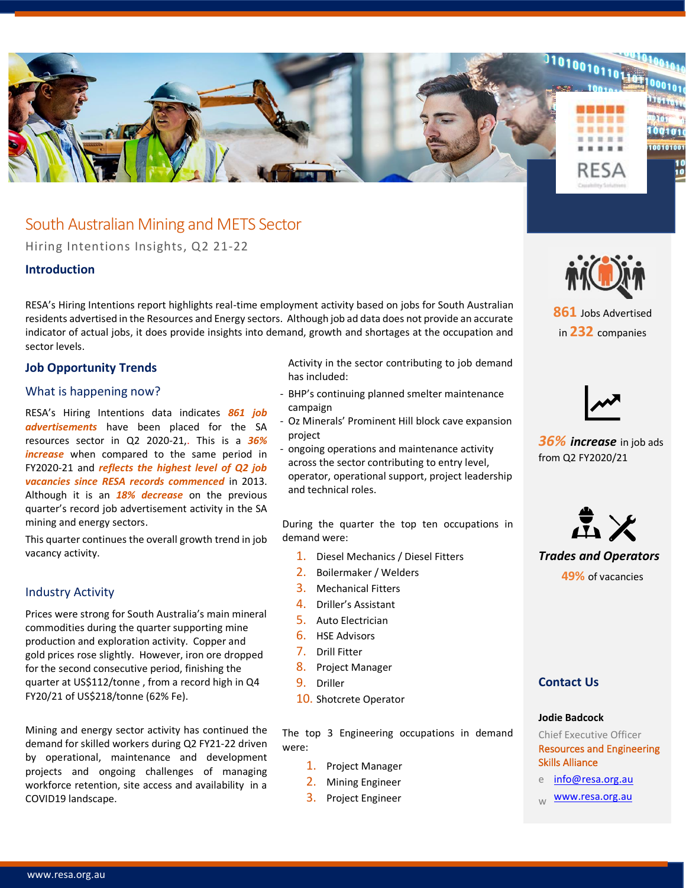

# South Australian Mining and METS Sector

Hiring Intentions Insights, Q2 21-22

# **Introduction**

RESA's Hiring Intentions report highlights real-time employment activity based on jobs for South Australian residents advertised in the Resources and Energy sectors. Although job ad data does not provide an accurate indicator of actual jobs, it does provide insights into demand, growth and shortages at the occupation and sector levels.

# **Job Opportunity Trends**

### What is happening now?

RESA's Hiring Intentions data indicates *861 job advertisements* have been placed for the SA resources sector in Q2 2020-21,. This is a *36% increase* when compared to the same period in FY2020-21 and *reflects the highest level of Q2 job vacancies since RESA records commenced* in 2013. Although it is an *18% decrease* on the previous quarter's record job advertisement activity in the SA mining and energy sectors.

This quarter continues the overall growth trend in job vacancy activity.

### Industry Activity

Prices were strong for South Australia's main mineral commodities during the quarter supporting mine production and exploration activity. Copper and gold prices rose slightly. However, iron ore dropped for the second consecutive period, finishing the quarter at US\$112/tonne , from a record high in Q4 FY20/21 of US\$218/tonne (62% Fe).

Mining and energy sector activity has continued the demand for skilled workers during Q2 FY21-22 driven by operational, maintenance and development projects and ongoing challenges of managing workforce retention, site access and availability in a COVID19 landscape.

Activity in the sector contributing to job demand has included:

- BHP's continuing planned smelter maintenance campaign
- Oz Minerals' Prominent Hill block cave expansion project
- ongoing operations and maintenance activity across the sector contributing to entry level, operator, operational support, project leadership and technical roles.

During the quarter the top ten occupations in demand were:

- 1. Diesel Mechanics / Diesel Fitters
- 2. Boilermaker / Welders
- 3. Mechanical Fitters
- 4. Driller's Assistant
- 5. Auto Electrician
- 6. HSE Advisors
- 7. Drill Fitter
- 8. Project Manager
- 9. Driller
- 10. Shotcrete Operator

The top 3 Engineering occupations in demand were:

- 1. Project Manager
- 2. Mining Engineer
- 3. Project Engineer



**861** Jobs Advertised in **232** companies



*36% increase* in job ads from Q2 FY2020/21



*Trades and Operators* **49%** of vacancies

# **Contact Us**

#### **Jodie Badcock**

Chief Executive Officer Resources and Engineering Skills Alliance

- e [info@resa.org.au](mailto:info@resa.org.au)
- [www.resa.org.au](http://www.resa.org.au/)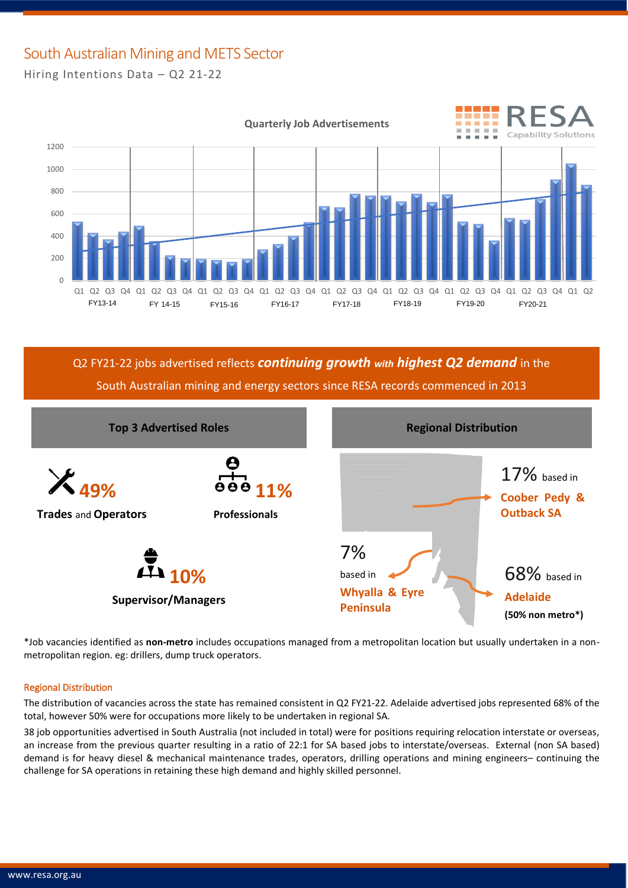# South Australian Mining and METS Sector

Hiring Intentions Data – Q2 21-22



Q2 FY21-22 jobs advertised reflects *continuing growth with highest Q2 demand* in the South Australian mining and energy sectors since RESA records commenced in 2013



\*Job vacancies identified as **non-metro** includes occupations managed from a metropolitan location but usually undertaken in a nonmetropolitan region. eg: drillers, dump truck operators.

### Regional Distribution

The distribution of vacancies across the state has remained consistent in Q2 FY21-22. Adelaide advertised jobs represented 68% of the total, however 50% were for occupations more likely to be undertaken in regional SA.

38 job opportunities advertised in South Australia (not included in total) were for positions requiring relocation interstate or overseas, an increase from the previous quarter resulting in a ratio of 22:1 for SA based jobs to interstate/overseas. External (non SA based) demand is for heavy diesel & mechanical maintenance trades, operators, drilling operations and mining engineers– continuing the challenge for SA operations in retaining these high demand and highly skilled personnel.